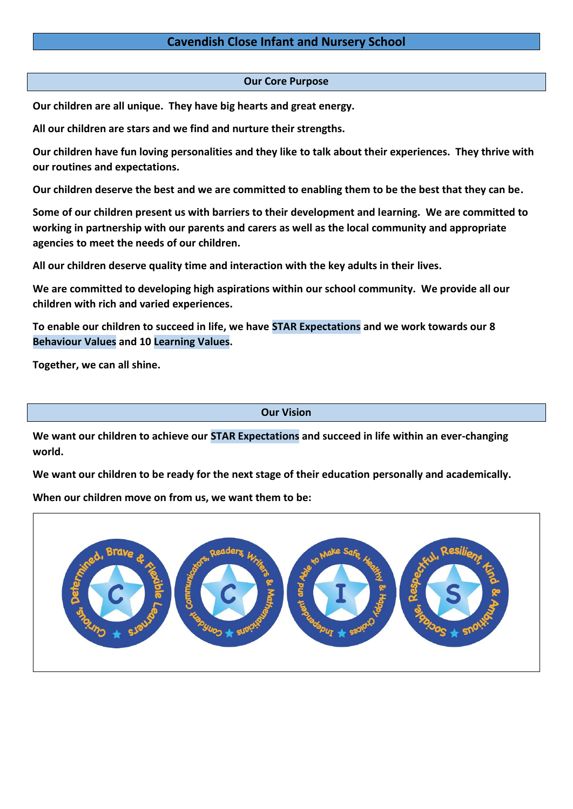## **Our Core Purpose**

**Our children are all unique. They have big hearts and great energy.**

**All our children are stars and we find and nurture their strengths.**

**Our children have fun loving personalities and they like to talk about their experiences. They thrive with our routines and expectations.**

**Our children deserve the best and we are committed to enabling them to be the best that they can be.**

**Some of our children present us with barriers to their development and learning. We are committed to working in partnership with our parents and carers as well as the local community and appropriate agencies to meet the needs of our children.** 

**All our children deserve quality time and interaction with the key adults in their lives.** 

**We are committed to developing high aspirations within our school community. We provide all our children with rich and varied experiences.**

**To enable our children to succeed in life, we have STAR Expectations and we work towards our 8 Behaviour Values and 10 Learning Values.**

**Together, we can all shine.** 

**Our Vision**

**We want our children to achieve our STAR Expectations and succeed in life within an ever-changing world.**

**We want our children to be ready for the next stage of their education personally and academically.**

**When our children move on from us, we want them to be:**

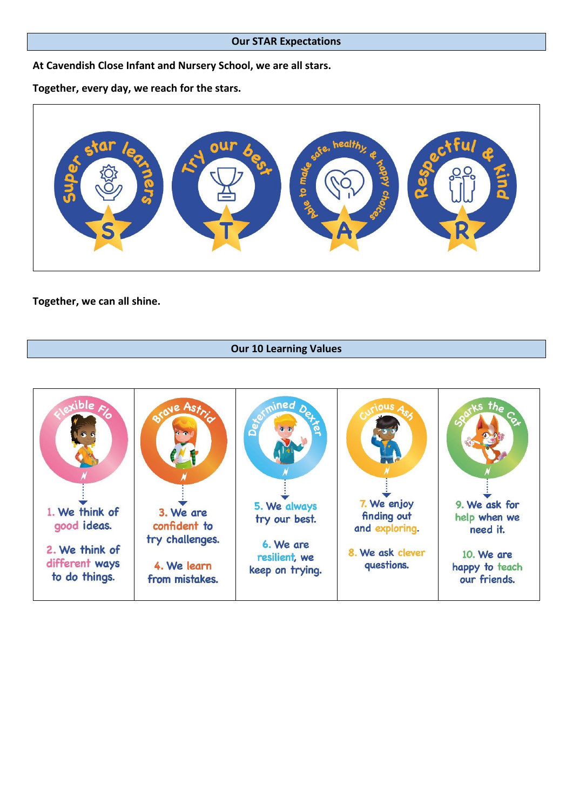#### **Our STAR Expectations**

**At Cavendish Close Infant and Nursery School, we are all stars.**

**Together, every day, we reach for the stars.** 



**Together, we can all shine.**

## **Our 10 Learning Values**

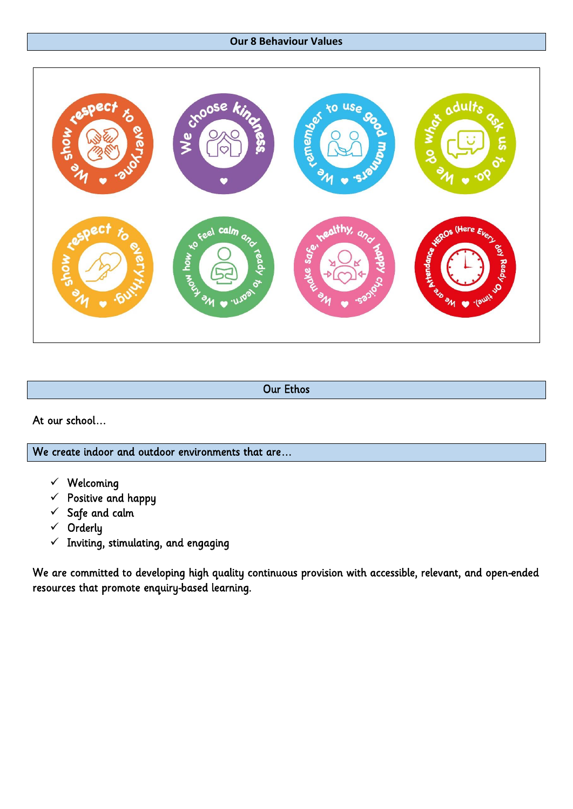# **Our 8 Behaviour Values**



Our Ethos

At our school…

We create indoor and outdoor environments that are…

- $\checkmark$  Welcoming
- $\checkmark$  Positive and happy
- $\checkmark$  Safe and calm
- $\checkmark$  Orderly
- $\checkmark$  Inviting, stimulating, and engaging

We are committed to developing high quality continuous provision with accessible, relevant, and open-ended resources that promote enquiry-based learning.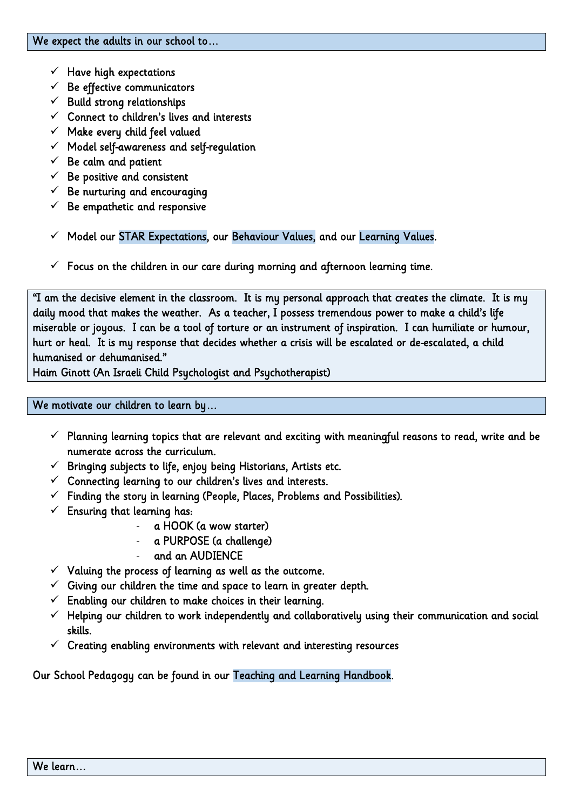- $\checkmark$  Have high expectations
- $\checkmark$  Be effective communicators
- $\checkmark$  Build strong relationships
- $\checkmark$  Connect to children's lives and interests
- $\checkmark$  Make every child feel valued
- $\checkmark$  Model self-awareness and self-regulation
- $\checkmark$  Be calm and patient
- $\checkmark$  Be positive and consistent
- $\checkmark$  Be nurturing and encouraging
- $\checkmark$  Be empathetic and responsive
- $\checkmark$  Model our STAR Expectations, our Behaviour Values, and our Learning Values.
- $\checkmark$  Focus on the children in our care during morning and afternoon learning time.

"I am the decisive element in the classroom. It is my personal approach that creates the climate. It is my daily mood that makes the weather. As a teacher, I possess tremendous power to make a child's life miserable or joyous. I can be a tool of torture or an instrument of inspiration. I can humiliate or humour, hurt or heal. It is my response that decides whether a crisis will be escalated or de-escalated, a child humanised or dehumanised."

Haim Ginott (An Israeli Child Psychologist and Psychotherapist)

## We motivate our children to learn by…

- $\checkmark$  Planning learning topics that are relevant and exciting with meaningful reasons to read, write and be numerate across the curriculum.
- $\checkmark$  Bringing subjects to life, enjoy being Historians, Artists etc.
- $\checkmark$  Connecting learning to our children's lives and interests.
- $\checkmark$  Finding the story in learning (People, Places, Problems and Possibilities).
- $\checkmark$  Ensuring that learning has:
	- a HOOK (a wow starter)
	- a PURPOSE (a challenge)
	- and an AUDIENCE
- $\checkmark$  Valuing the process of learning as well as the outcome.
- $\checkmark$  Giving our children the time and space to learn in greater depth.
- $\checkmark$  Enabling our children to make choices in their learning.
- $\checkmark$  Helping our children to work independently and collaboratively using their communication and social skills.
- $\checkmark$  Creating enabling environments with relevant and interesting resources

Our School Pedagogy can be found in our Teaching and Learning Handbook.